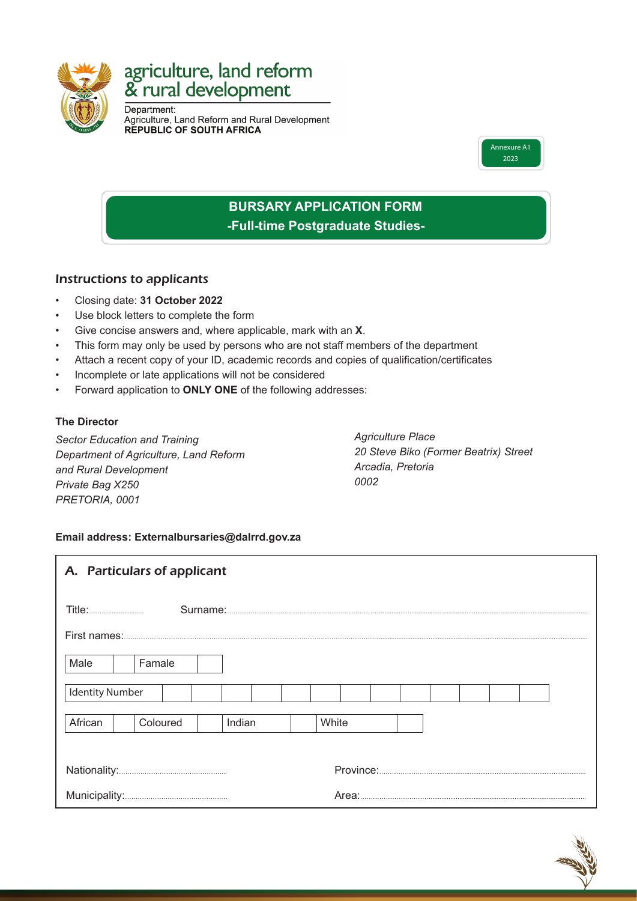

# agriculture, land reform & rural development

Department: Agriculture, Land Reform and Rural Development<br>REPUBLIC OF SOUTH AFRICA



# **BURSARY APPLICATION FORM -Full-time Postgraduate Studies-**

## Instructions to applicants

- Closing date: **31 October 2022**
- Use block letters to complete the form
- Give concise answers and, where applicable, mark with an **X**.
- This form may only be used by persons who are not staff members of the department
- Attach a recent copy of your ID, academic records and copies of qualification/certificates
- Incomplete or late applications will not be considered
- Forward application to **ONLY ONE** of the following addresses:

#### **The Director**

*Sector Education and Training Department of Agriculture, Land Reform and Rural Development Private Bag X250 PRETORIA, 0001*

*Agriculture Place 20 Steve Biko (Former Beatrix) Street Arcadia, Pretoria 0002*

#### **Email address: Externalbursaries@dalrrd.gov.za**

| A. Particulars of applicant   |        |  |  |  |       |  |  |  |  |  |  |  |  |
|-------------------------------|--------|--|--|--|-------|--|--|--|--|--|--|--|--|
|                               |        |  |  |  |       |  |  |  |  |  |  |  |  |
|                               |        |  |  |  |       |  |  |  |  |  |  |  |  |
| Male                          | Famale |  |  |  |       |  |  |  |  |  |  |  |  |
| <b>Identity Number</b>        |        |  |  |  |       |  |  |  |  |  |  |  |  |
| African<br>Coloured<br>Indian |        |  |  |  | White |  |  |  |  |  |  |  |  |
|                               |        |  |  |  |       |  |  |  |  |  |  |  |  |
|                               |        |  |  |  |       |  |  |  |  |  |  |  |  |

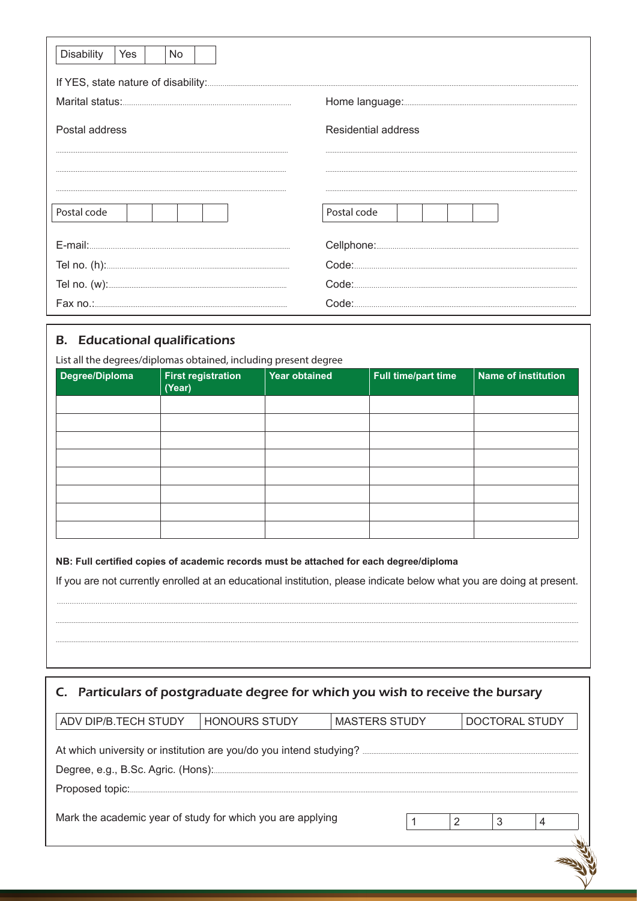| <b>Disability</b><br><b>Yes</b><br>No. |                     |
|----------------------------------------|---------------------|
|                                        |                     |
|                                        |                     |
| Postal address                         | Residential address |
|                                        |                     |
|                                        |                     |
| Postal code                            | Postal code         |
|                                        |                     |
|                                        |                     |
|                                        |                     |
|                                        |                     |

## **B.** Educational qualifications

List all the degrees/diplomas obtained, including present degree

| Degree/Diploma | <b>First registration</b><br>(Year) | <b>Year obtained</b> | Full time/part time | Name of institution |
|----------------|-------------------------------------|----------------------|---------------------|---------------------|
|                |                                     |                      |                     |                     |
|                |                                     |                      |                     |                     |
|                |                                     |                      |                     |                     |
|                |                                     |                      |                     |                     |
|                |                                     |                      |                     |                     |
|                |                                     |                      |                     |                     |
|                |                                     |                      |                     |                     |
|                |                                     |                      |                     |                     |

NB: Full certified copies of academic records must be attached for each degree/diploma

If you are not currently enrolled at an educational institution, please indicate below what you are doing at present.

| C. Particulars of postgraduate degree for which you wish to receive the bursary        |  |  |  |  |  |  |  |  |  |  |  |  |
|----------------------------------------------------------------------------------------|--|--|--|--|--|--|--|--|--|--|--|--|
| ADV DIP/B.TECH STUDY<br><b>HONOURS STUDY</b><br><b>MASTERS STUDY</b><br>DOCTORAL STUDY |  |  |  |  |  |  |  |  |  |  |  |  |
|                                                                                        |  |  |  |  |  |  |  |  |  |  |  |  |
| Mark the academic year of study for which you are applying<br>3<br>2<br>4              |  |  |  |  |  |  |  |  |  |  |  |  |
|                                                                                        |  |  |  |  |  |  |  |  |  |  |  |  |
|                                                                                        |  |  |  |  |  |  |  |  |  |  |  |  |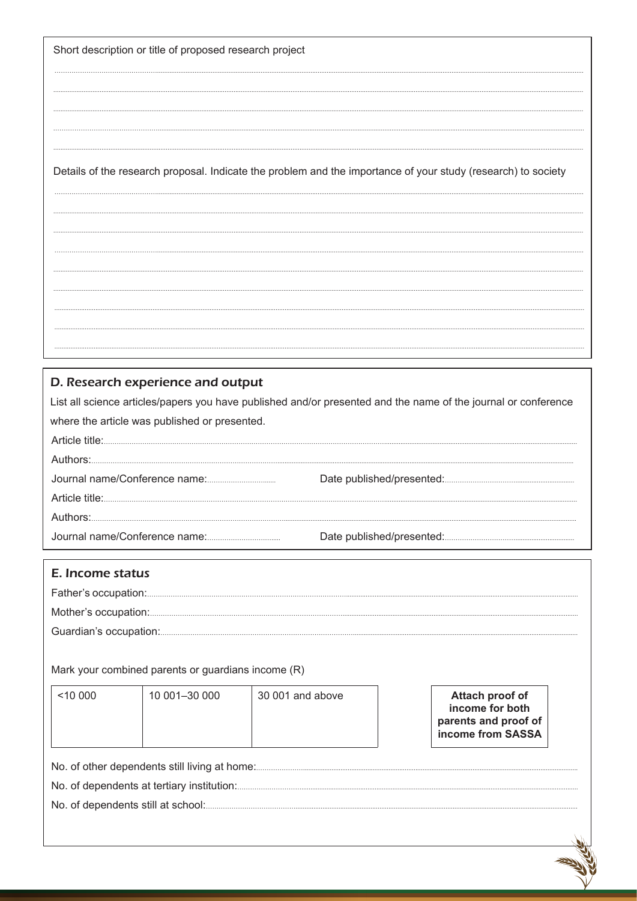Short description or title of proposed research project

Details of the research proposal. Indicate the problem and the importance of your study (research) to society

#### D. Research experience and output

List all science articles/papers you have published and/or presented and the name of the journal or conference where the article was published or presented. Article title:

| Authors: |  |
|----------|--|
|          |  |
|          |  |
| Authors: |  |
|          |  |

| E. Income status |
|------------------|
|                  |
|                  |
|                  |

Mark your combined parents or guardians income (R)

| 10000                                         | 10 001-30 000 | 30 001 and above | Attach proof of<br>income for both<br>parents and proof of<br>income from SASSA |  |  |  |  |  |  |  |  |
|-----------------------------------------------|---------------|------------------|---------------------------------------------------------------------------------|--|--|--|--|--|--|--|--|
| No. of other dependents still living at home: |               |                  |                                                                                 |  |  |  |  |  |  |  |  |

No. of dependents still at school:.....